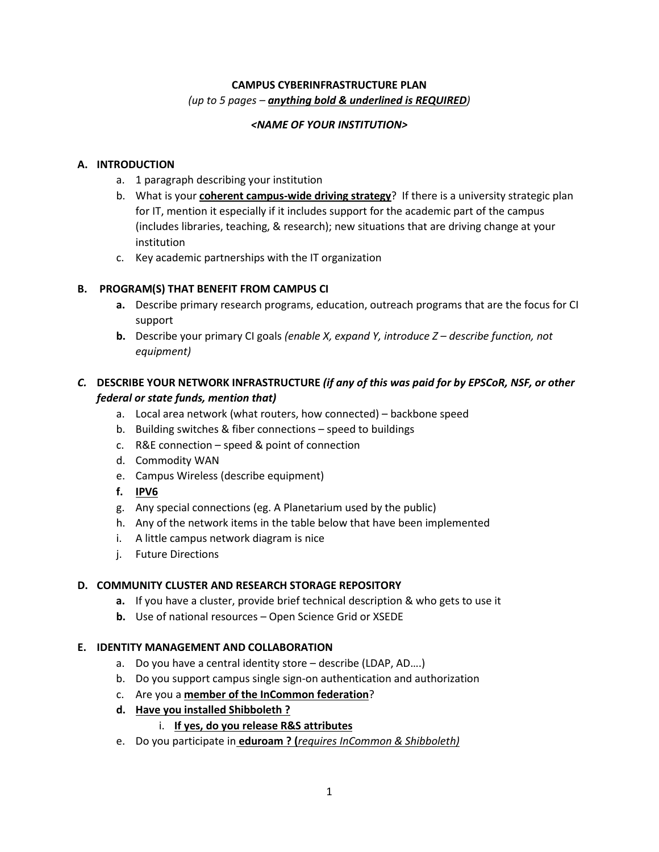# **CAMPUS CYBERINFRASTRUCTURE PLAN** *(up to 5 pages – anything bold & underlined is REQUIRED)*

#### *<NAME OF YOUR INSTITUTION>*

### **A. INTRODUCTION**

- a. 1 paragraph describing your institution
- b. What is your **coherent campus-wide driving strategy**? If there is a university strategic plan for IT, mention it especially if it includes support for the academic part of the campus (includes libraries, teaching, & research); new situations that are driving change at your institution
- c. Key academic partnerships with the IT organization

### **B. PROGRAM(S) THAT BENEFIT FROM CAMPUS CI**

- **a.** Describe primary research programs, education, outreach programs that are the focus for CI support
- **b.** Describe your primary CI goals *(enable X, expand Y, introduce Z – describe function, not equipment)*

# *C.* **DESCRIBE YOUR NETWORK INFRASTRUCTURE** *(if any of this was paid for by EPSCoR, NSF, or other federal or state funds, mention that)*

- a. Local area network (what routers, how connected) backbone speed
- b. Building switches & fiber connections speed to buildings
- c. R&E connection speed & point of connection
- d. Commodity WAN
- e. Campus Wireless (describe equipment)
- **f. IPV6**
- g. Any special connections (eg. A Planetarium used by the public)
- h. Any of the network items in the table below that have been implemented
- i. A little campus network diagram is nice
- j. Future Directions

# **D. COMMUNITY CLUSTER AND RESEARCH STORAGE REPOSITORY**

- **a.** If you have a cluster, provide brief technical description & who gets to use it
- **b.** Use of national resources Open Science Grid or XSEDE

#### **E. IDENTITY MANAGEMENT AND COLLABORATION**

- a. Do you have a central identity store describe (LDAP, AD….)
- b. Do you support campus single sign-on authentication and authorization
- c. Are you a **member of the InCommon federation**?
- **d. Have you installed Shibboleth ?**

# i. **If yes, do you release R&S attributes**

e. Do you participate in **eduroam ? (***requires InCommon & Shibboleth)*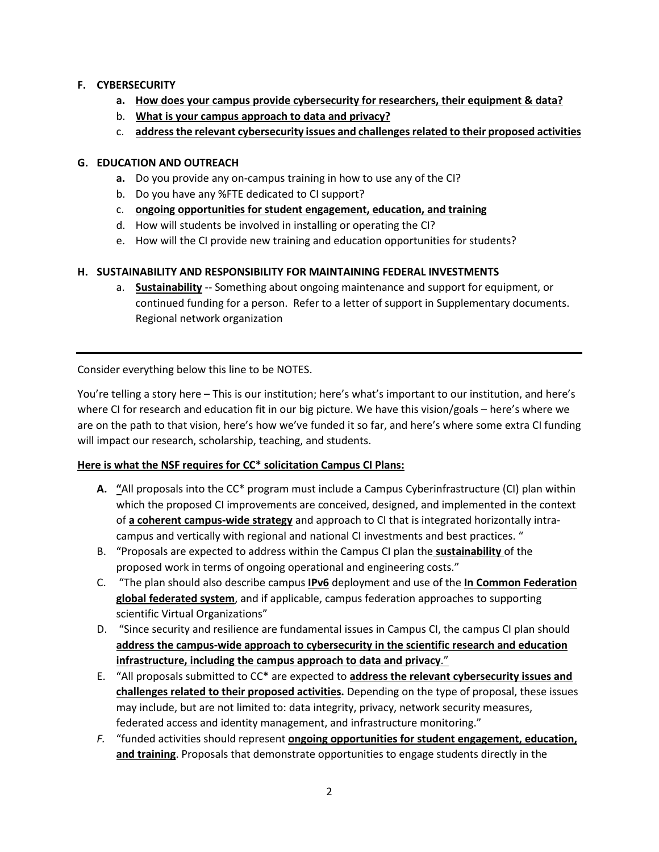### **F. CYBERSECURITY**

- **a. How does your campus provide cybersecurity for researchers, their equipment & data?**
- b. **What is your campus approach to data and privacy?**
- c. **address the relevant cybersecurity issues and challenges related to their proposed activities**

#### **G. EDUCATION AND OUTREACH**

- **a.** Do you provide any on-campus training in how to use any of the CI?
- b. Do you have any %FTE dedicated to CI support?
- c. **ongoing opportunities for student engagement, education, and training**
- d. How will students be involved in installing or operating the CI?
- e. How will the CI provide new training and education opportunities for students?

### **H. SUSTAINABILITY AND RESPONSIBILITY FOR MAINTAINING FEDERAL INVESTMENTS**

a. **Sustainability** -- Something about ongoing maintenance and support for equipment, or continued funding for a person. Refer to a letter of support in Supplementary documents. Regional network organization

Consider everything below this line to be NOTES.

You're telling a story here – This is our institution; here's what's important to our institution, and here's where CI for research and education fit in our big picture. We have this vision/goals – here's where we are on the path to that vision, here's how we've funded it so far, and here's where some extra CI funding will impact our research, scholarship, teaching, and students.

# **Here is what the NSF requires for CC\* solicitation Campus CI Plans:**

- **A. "**All proposals into the CC\* program must include a Campus Cyberinfrastructure (CI) plan within which the proposed CI improvements are conceived, designed, and implemented in the context of **a coherent campus-wide strategy** and approach to CI that is integrated horizontally intracampus and vertically with regional and national CI investments and best practices. "
- B. "Proposals are expected to address within the Campus CI plan the **sustainability** of the proposed work in terms of ongoing operational and engineering costs."
- C. "The plan should also describe campus **IPv6** deployment and use of the **In Common Federation global federated system**, and if applicable, campus federation approaches to supporting scientific Virtual Organizations"
- D. "Since security and resilience are fundamental issues in Campus CI, the campus CI plan should **address the campus-wide approach to cybersecurity in the scientific research and education infrastructure, including the campus approach to data and privacy**."
- E. "All proposals submitted to CC\* are expected to **address the relevant cybersecurity issues and challenges related to their proposed activities.** Depending on the type of proposal, these issues may include, but are not limited to: data integrity, privacy, network security measures, federated access and identity management, and infrastructure monitoring."
- *F.* "funded activities should represent **ongoing opportunities for student engagement, education, and training**. Proposals that demonstrate opportunities to engage students directly in the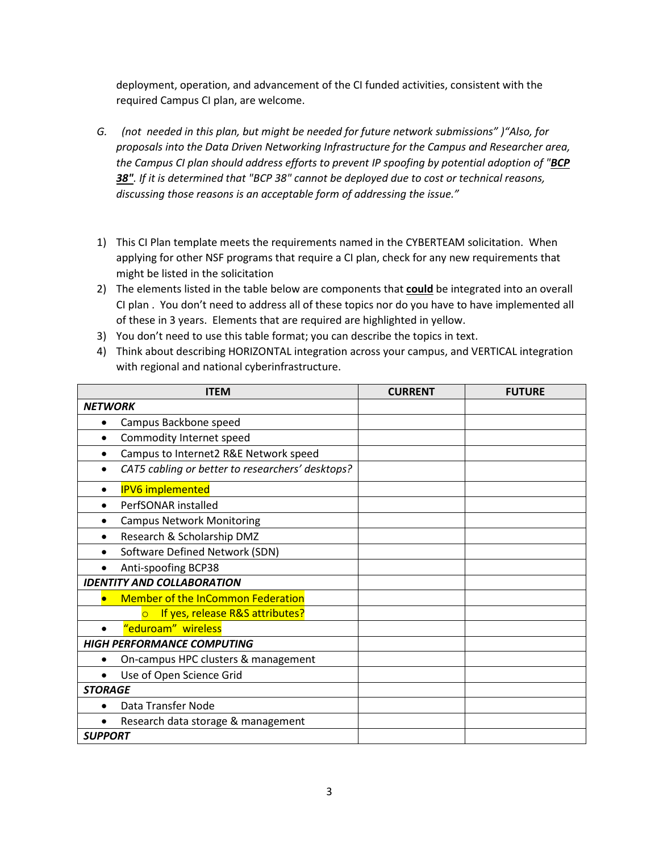deployment, operation, and advancement of the CI funded activities, consistent with the required Campus CI plan, are welcome.

- *G. (not needed in this plan, but might be needed for future network submissions" )"Also, for proposals into the Data Driven Networking Infrastructure for the Campus and Researcher area, the Campus CI plan should address efforts to prevent IP spoofing by potential adoption of "BCP 38". If it is determined that "BCP 38" cannot be deployed due to cost or technical reasons, discussing those reasons is an acceptable form of addressing the issue."*
- 1) This CI Plan template meets the requirements named in the CYBERTEAM solicitation. When applying for other NSF programs that require a CI plan, check for any new requirements that might be listed in the solicitation
- 2) The elements listed in the table below are components that **could** be integrated into an overall CI plan . You don't need to address all of these topics nor do you have to have implemented all of these in 3 years. Elements that are required are highlighted in yellow.
- 3) You don't need to use this table format; you can describe the topics in text.
- 4) Think about describing HORIZONTAL integration across your campus, and VERTICAL integration with regional and national cyberinfrastructure.

| <b>ITEM</b>                                                   | <b>CURRENT</b> | <b>FUTURE</b> |
|---------------------------------------------------------------|----------------|---------------|
| <b>NETWORK</b>                                                |                |               |
| Campus Backbone speed                                         |                |               |
| Commodity Internet speed<br>$\bullet$                         |                |               |
| Campus to Internet2 R&E Network speed<br>$\bullet$            |                |               |
| CAT5 cabling or better to researchers' desktops?<br>$\bullet$ |                |               |
| <b>IPV6</b> implemented                                       |                |               |
| PerfSONAR installed                                           |                |               |
| <b>Campus Network Monitoring</b>                              |                |               |
| Research & Scholarship DMZ<br>$\bullet$                       |                |               |
| Software Defined Network (SDN)                                |                |               |
| Anti-spoofing BCP38                                           |                |               |
| <b>IDENTITY AND COLLABORATION</b>                             |                |               |
| <b>Member of the InCommon Federation</b><br>$\bullet$         |                |               |
| If yes, release R&S attributes?<br>$\overline{O}$             |                |               |
| "eduroam" wireless                                            |                |               |
| <b>HIGH PERFORMANCE COMPUTING</b>                             |                |               |
| On-campus HPC clusters & management                           |                |               |
| Use of Open Science Grid<br>$\bullet$                         |                |               |
| <b>STORAGE</b>                                                |                |               |
| Data Transfer Node<br>$\bullet$                               |                |               |
| Research data storage & management                            |                |               |
| <b>SUPPORT</b>                                                |                |               |